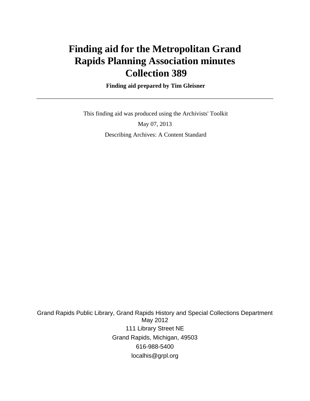# **Finding aid for the Metropolitan Grand Rapids Planning Association minutes Collection 389**

 **Finding aid prepared by Tim Gleisner**

 This finding aid was produced using the Archivists' Toolkit May 07, 2013 Describing Archives: A Content Standard

Grand Rapids Public Library, Grand Rapids History and Special Collections Department May 2012 111 Library Street NE Grand Rapids, Michigan, 49503 616-988-5400 localhis@grpl.org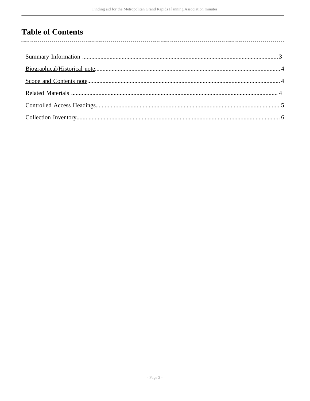## **Table of Contents**

l,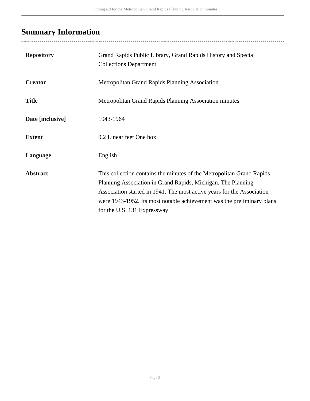# <span id="page-2-0"></span>**Summary Information**

| <b>Repository</b> | Grand Rapids Public Library, Grand Rapids History and Special<br><b>Collections Department</b>                                                                                                                                                                                                                            |
|-------------------|---------------------------------------------------------------------------------------------------------------------------------------------------------------------------------------------------------------------------------------------------------------------------------------------------------------------------|
| <b>Creator</b>    | Metropolitan Grand Rapids Planning Association.                                                                                                                                                                                                                                                                           |
| <b>Title</b>      | Metropolitan Grand Rapids Planning Association minutes                                                                                                                                                                                                                                                                    |
| Date [inclusive]  | 1943-1964                                                                                                                                                                                                                                                                                                                 |
| <b>Extent</b>     | 0.2 Linear feet One box                                                                                                                                                                                                                                                                                                   |
| Language          | English                                                                                                                                                                                                                                                                                                                   |
| <b>Abstract</b>   | This collection contains the minutes of the Metropolitan Grand Rapids<br>Planning Association in Grand Rapids, Michigan. The Planning<br>Association started in 1941. The most active years for the Association<br>were 1943-1952. Its most notable achievement was the preliminary plans<br>for the U.S. 131 Expressway. |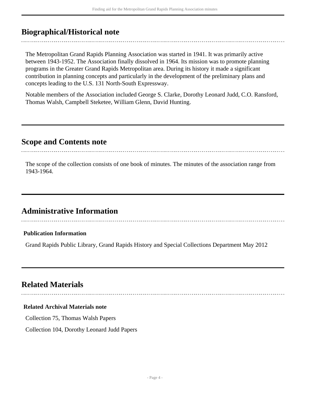## <span id="page-3-0"></span>**Biographical/Historical note**

The Metropolitan Grand Rapids Planning Association was started in 1941. It was primarily active between 1943-1952. The Association finally dissolved in 1964. Its mission was to promote planning programs in the Greater Grand Rapids Metropolitan area. During its history it made a significant contribution in planning concepts and particularly in the development of the preliminary plans and concepts leading to the U.S. 131 North-South Expressway.

Notable members of the Association included George S. Clarke, Dorothy Leonard Judd, C.O. Ransford, Thomas Walsh, Campbell Steketee, William Glenn, David Hunting.

### <span id="page-3-1"></span>**Scope and Contents note**

The scope of the collection consists of one book of minutes. The minutes of the association range from 1943-1964.

## **Administrative Information**

#### **Publication Information**

Grand Rapids Public Library, Grand Rapids History and Special Collections Department May 2012

## <span id="page-3-2"></span>**Related Materials**

#### **Related Archival Materials note**

Collection 75, Thomas Walsh Papers

Collection 104, Dorothy Leonard Judd Papers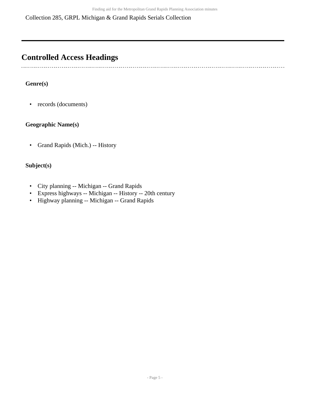Collection 285, GRPL Michigan & Grand Rapids Serials Collection

## <span id="page-4-0"></span>**Controlled Access Headings**

 $\sim$ 

#### **Genre(s)**

• records (documents)

#### **Geographic Name(s)**

• Grand Rapids (Mich.) -- History

#### **Subject(s)**

- City planning -- Michigan -- Grand Rapids
- Express highways -- Michigan -- History -- 20th century
- Highway planning -- Michigan -- Grand Rapids